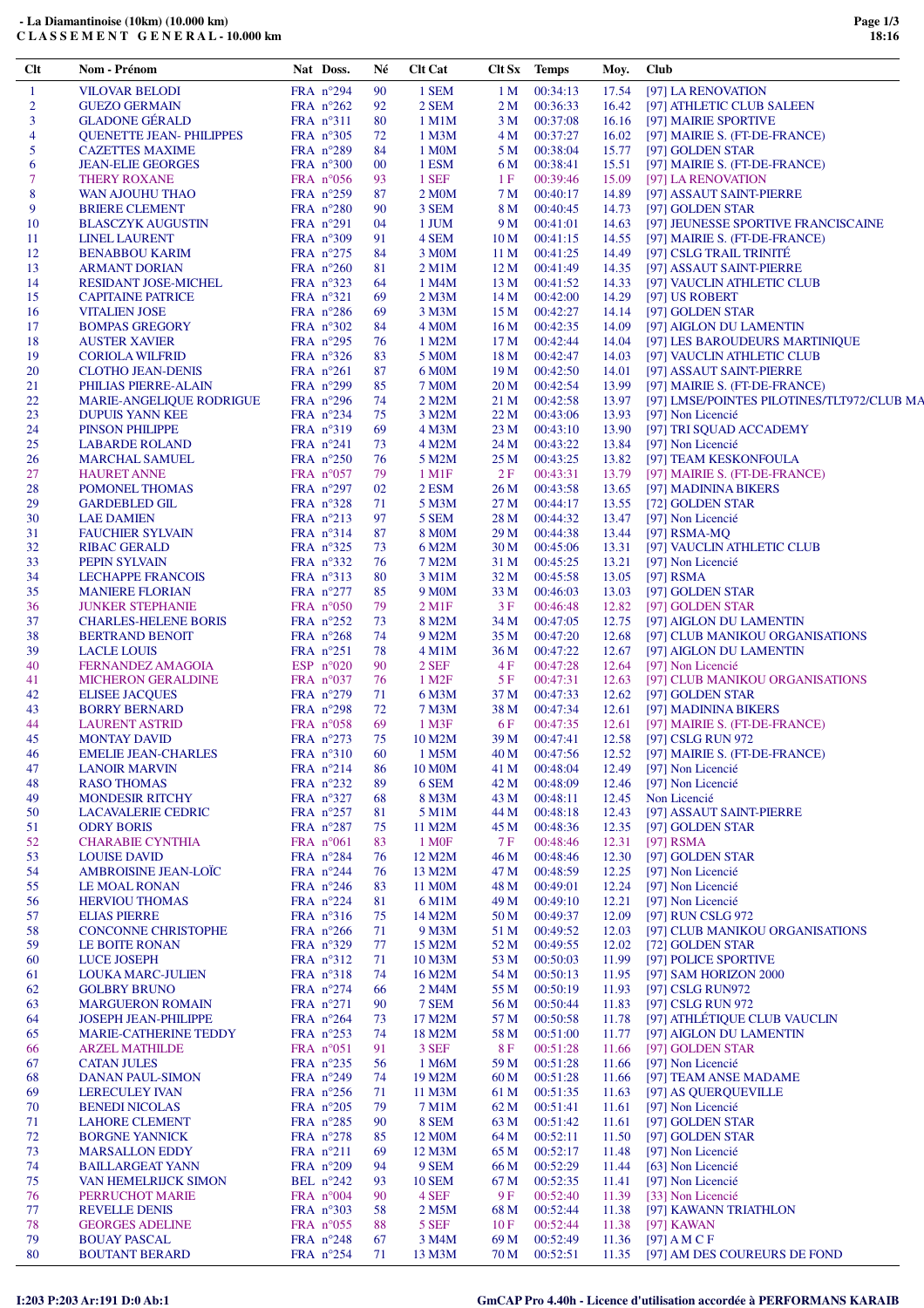| Clt            | Nom - Prénom                              | Nat Doss.                                | Né       | <b>Clt Cat</b>              |                 | Clt Sx Temps         | Moy.           | <b>Club</b>                                  |
|----------------|-------------------------------------------|------------------------------------------|----------|-----------------------------|-----------------|----------------------|----------------|----------------------------------------------|
| 1              | <b>VILOVAR BELODI</b>                     | FRA n°294                                | 90       | 1 SEM                       | 1 <sub>M</sub>  | 00:34:13             | 17.54          | [97] LA RENOVATION                           |
| $\overline{c}$ | <b>GUEZO GERMAIN</b>                      | FRA $n^{\circ}262$                       | 92       | 2 SEM                       | 2 M             | 00:36:33             | 16.42          | [97] ATHLETIC CLUB SALEEN                    |
| 3              | <b>GLADONE GÉRALD</b>                     | FRA $n^{\circ}311$                       | 80       | $1$ M $1$ M                 | 3 M             | 00:37:08             | 16.16          | [97] MAIRIE SPORTIVE                         |
| $\overline{4}$ | <b>QUENETTE JEAN- PHILIPPES</b>           | FRA $n^{\circ}305$                       | 72       | 1 M3M                       | 4 M             | 00:37:27             | 16.02          | [97] MAIRIE S. (FT-DE-FRANCE)                |
| 5              | <b>CAZETTES MAXIME</b>                    | FRA $n^{\circ}289$                       | 84       | 1 M <sub>0</sub> M          | 5 M             | 00:38:04             | 15.77          | [97] GOLDEN STAR                             |
| 6              | <b>JEAN-ELIE GEORGES</b>                  | FRA $n^{\circ}300$                       | $00\,$   | 1 ESM                       | 6 M             | 00:38:41             | 15.51          | [97] MAIRIE S. (FT-DE-FRANCE)                |
| 7              | <b>THERY ROXANE</b>                       | FRA $n^{\circ}056$                       | 93       | 1 SEF                       | 1F              | 00:39:46             | 15.09          | [97] LA RENOVATION                           |
| 8<br>9         | WAN AJOUHU THAO<br><b>BRIERE CLEMENT</b>  | FRA $n^{\circ}259$<br>FRA $n^{\circ}280$ | 87<br>90 | 2 M <sub>0</sub> M<br>3 SEM | 7 M<br>8 M      | 00:40:17<br>00:40:45 | 14.89<br>14.73 | [97] ASSAUT SAINT-PIERRE<br>[97] GOLDEN STAR |
| 10             | <b>BLASCZYK AUGUSTIN</b>                  | FRA $n^{\circ}291$                       | 04       | 1 JUM                       | 9 M             | 00:41:01             | 14.63          | [97] JEUNESSE SPORTIVE FRANCISCAINE          |
| 11             | <b>LINEL LAURENT</b>                      | FRA $n^{\circ}309$                       | 91       | 4 SEM                       | 10 <sub>M</sub> | 00:41:15             | 14.55          | [97] MAIRIE S. (FT-DE-FRANCE)                |
| 12             | <b>BENABBOU KARIM</b>                     | FRA $n^{\circ}275$                       | 84       | 3 M <sub>0</sub> M          | 11 <sub>M</sub> | 00:41:25             | 14.49          | [97] CSLG TRAIL TRINITÉ                      |
| 13             | <b>ARMANT DORIAN</b>                      | FRA $n^{\circ}260$                       | 81       | $2$ M $1$ M                 | 12 M            | 00:41:49             | 14.35          | [97] ASSAUT SAINT-PIERRE                     |
| 14             | <b>RESIDANT JOSE-MICHEL</b>               | $FRA$ n°323                              | 64       | 1 M4M                       | 13 M            | 00:41:52             | 14.33          | [97] VAUCLIN ATHLETIC CLUB                   |
| 15             | <b>CAPITAINE PATRICE</b>                  | FRA $n^{\circ}321$                       | 69       | 2 M <sub>3</sub> M          | 14 M            | 00:42:00             | 14.29          | [97] US ROBERT                               |
| 16             | <b>VITALIEN JOSE</b>                      | FRA $n^{\circ}286$                       | 69       | 3 M3M                       | 15 M            | 00:42:27             | 14.14          | [97] GOLDEN STAR                             |
| 17             | <b>BOMPAS GREGORY</b>                     | FRA $n^{\circ}302$                       | 84       | 4 M <sub>0</sub> M          | 16M             | 00:42:35             | 14.09          | [97] AIGLON DU LAMENTIN                      |
| 18             | <b>AUSTER XAVIER</b>                      | FRA $n^{\circ}295$                       | 76       | 1 M2M                       | 17 <sub>M</sub> | 00:42:44             | 14.04          | [97] LES BAROUDEURS MARTINIQUE               |
| 19             | <b>CORIOLA WILFRID</b>                    | FRA $n^{\circ}326$                       | 83       | 5 M <sub>0</sub> M          | 18 M            | 00:42:47             | 14.03          | [97] VAUCLIN ATHLETIC CLUB                   |
| 20             | <b>CLOTHO JEAN-DENIS</b>                  | FRA $n^{\circ}261$                       | 87       | 6 M <sub>0</sub> M          | 19 M            | 00:42:50             | 14.01          | [97] ASSAUT SAINT-PIERRE                     |
| 21             | PHILIAS PIERRE-ALAIN                      | FRA n°299                                | 85       | <b>7 MOM</b>                | 20 M            | 00:42:54             | 13.99          | [97] MAIRIE S. (FT-DE-FRANCE)                |
| 22             | MARIE-ANGELIQUE RODRIGUE                  | FRA $n^{\circ}296$                       | 74       | 2 M2M                       | 21 M            | 00:42:58             | 13.97          | [97] LMSE/POINTES PILOTINES/TLT972/CLUB MA   |
| 23             | <b>DUPUIS YANN KEE</b>                    | FRA $n^{\circ}234$                       | 75       | 3 M2M                       | 22 M            | 00:43:06             | 13.93          | [97] Non Licencié                            |
| 24             | <b>PINSON PHILIPPE</b>                    | FRA $n^{\circ}319$                       | 69       | 4 M3M                       | 23 M            | 00:43:10             | 13.90          | [97] TRI SQUAD ACCADEMY                      |
| 25             | <b>LABARDE ROLAND</b>                     | FRA $n^{\circ}241$                       | 73       | 4 M2M                       | 24 M            | 00:43:22             | 13.84          | [97] Non Licencié                            |
| 26             | <b>MARCHAL SAMUEL</b>                     | FRA $n^{\circ}250$                       | 76       | 5 M2M                       | 25 M            | 00:43:25             | 13.82          | [97] TEAM KESKONFOULA                        |
| 27             | <b>HAURET ANNE</b>                        | FRA $n^{\circ}057$                       | 79       | $1$ M $1$ F                 | 2F              | 00:43:31             | 13.79          | [97] MAIRIE S. (FT-DE-FRANCE)                |
| 28             | POMONEL THOMAS                            | FRA $n^{\circ}297$                       | 02       | 2 ESM                       | 26 M            | 00:43:58             | 13.65          | [97] MADININA BIKERS                         |
| 29             | <b>GARDEBLED GIL</b>                      | FRA $n^{\circ}328$                       | 71       | 5 M3M                       | 27 M            | 00:44:17             | 13.55          | [72] GOLDEN STAR                             |
| 30             | <b>LAE DAMIEN</b>                         | FRA $n^{\circ}213$                       | 97       | 5 SEM                       | 28 M            | 00:44:32             | 13.47          | [97] Non Licencié                            |
| 31             | <b>FAUCHIER SYLVAIN</b>                   | FRA $n^{\circ}314$                       | 87       | <b>8 MOM</b>                | 29 M            | 00:44:38             | 13.44          | [97] RSMA-MQ                                 |
| 32<br>33       | <b>RIBAC GERALD</b>                       | FRA $n^{\circ}325$<br>FRA $n^{\circ}332$ | 73<br>76 | 6 M2M<br>7 M2M              | 30 M<br>31 M    | 00:45:06<br>00:45:25 | 13.31<br>13.21 | [97] VAUCLIN ATHLETIC CLUB                   |
| 34             | PEPIN SYLVAIN<br><b>LECHAPPE FRANCOIS</b> | FRA $n^{\circ}313$                       | 80       | 3 M1M                       | 32 M            | 00:45:58             | 13.05          | [97] Non Licencié<br>[97] $RSMA$             |
| 35             | <b>MANIERE FLORIAN</b>                    | FRA $n^{\circ}277$                       | 85       | 9 M <sub>0</sub> M          | 33 M            | 00:46:03             | 13.03          | [97] GOLDEN STAR                             |
| 36             | <b>JUNKER STEPHANIE</b>                   | FRA $n^{\circ}050$                       | 79       | $2$ M <sub>1</sub> F        | 3F              | 00:46:48             | 12.82          | [97] GOLDEN STAR                             |
| 37             | <b>CHARLES-HELENE BORIS</b>               | FRA $n^{\circ}252$                       | 73       | 8 M2M                       | 34 M            | 00:47:05             | 12.75          | [97] AIGLON DU LAMENTIN                      |
| 38             | <b>BERTRAND BENOIT</b>                    | FRA $n^{\circ}268$                       | 74       | 9 M2M                       | 35 M            | 00:47:20             | 12.68          | [97] CLUB MANIKOU ORGANISATIONS              |
| 39             | <b>LACLE LOUIS</b>                        | FRA $n^{\circ}251$                       | 78       | $4$ M $1$ M                 | 36 M            | 00:47:22             | 12.67          | [97] AIGLON DU LAMENTIN                      |
| 40             | <b>FERNANDEZ AMAGOIA</b>                  | ESP $n^{\circ}020$                       | 90       | 2 SEF                       | 4 F             | 00:47:28             | 12.64          | [97] Non Licencié                            |
| 41             | MICHERON GERALDINE                        | FRA $n^{\circ}037$                       | 76       | 1 M2F                       | 5 F             | 00:47:31             | 12.63          | [97] CLUB MANIKOU ORGANISATIONS              |
| 42             | <b>ELISEE JACOUES</b>                     | FRA $n^{\circ}279$                       | 71       | 6 M3M                       | 37 M            | 00:47:33             | 12.62          | [97] GOLDEN STAR                             |
| 43             | <b>BORRY BERNARD</b>                      | FRA $n^{\circ}298$                       | 72       | 7 M3M                       | 38 M            | 00:47:34             | 12.61          | [97] MADININA BIKERS                         |
| 44             | <b>LAURENT ASTRID</b>                     | FRA $n^{\circ}058$                       | 69       | $1$ M3F                     | 6 F             | 00:47:35             | 12.61          | [97] MAIRIE S. (FT-DE-FRANCE)                |
| 45             | <b>MONTAY DAVID</b>                       | FRA $n^{\circ}273$                       | 75       | 10 M2M                      | 39 M            | 00:47:41             | 12.58          | [97] CSLG RUN 972                            |
| 46             | <b>EMELIE JEAN-CHARLES</b>                | FRA $n^{\circ}310$                       | 60       | 1 M5M                       | 40 M            | 00:47:56             |                | 12.52 [97] MAIRIE S. (FT-DE-FRANCE)          |
| 47             | <b>LANOIR MARVIN</b>                      | FRA n°214                                | 86       | 10 M0M                      | 41 M            | 00:48:04             | 12.49          | [97] Non Licencié                            |
| 48             | <b>RASO THOMAS</b>                        | FRA n°232                                | 89       | 6 SEM                       | 42 M            | 00:48:09             | 12.46          | [97] Non Licencié                            |
| 49             | <b>MONDESIR RITCHY</b>                    | FRA n°327                                | 68       | 8 M3M                       | 43 M            | 00:48:11             | 12.45          | Non Licencié                                 |
| 50             | <b>LACAVALERIE CEDRIC</b>                 | FRA n°257                                | 81       | 5 M1M                       | 44 M            | 00:48:18             | 12.43          | [97] ASSAUT SAINT-PIERRE                     |
| 51             | <b>ODRY BORIS</b>                         | FRA $n^{\circ}287$                       | 75       | 11 M2M                      | 45 M            | 00:48:36             | 12.35          | [97] GOLDEN STAR                             |
| 52             | <b>CHARABIE CYNTHIA</b>                   | FRA n°061                                | 83       | 1 M <sub>OF</sub>           | 7 F             | 00:48:46             | 12.31          | [97] RSMA                                    |
| 53             | <b>LOUISE DAVID</b>                       | FRA $n^{\circ}284$                       | 76       | 12 M2M                      | 46 M            | 00:48:46             | 12.30          | [97] GOLDEN STAR                             |
| 54             | <b>AMBROISINE JEAN-LOIC</b>               | FRA n°244                                | 76       | 13 M2M                      | 47 M            | 00:48:59             | 12.25          | [97] Non Licencié                            |
| 55             | LE MOAL RONAN<br><b>HERVIOU THOMAS</b>    | FRA $n^{\circ}246$<br>FRA n°224          | 83       | 11 M <sub>0</sub> M         | 48 M            | 00:49:01<br>00:49:10 | 12.24          | [97] Non Licencié<br>[97] Non Licencié       |
| 56<br>57       | <b>ELIAS PIERRE</b>                       | FRA nº316                                | 81<br>75 | 6 M1M<br>14 M2M             | 49 M            | 00:49:37             | 12.21<br>12.09 | [97] RUN CSLG 972                            |
| 58             | <b>CONCONNE CHRISTOPHE</b>                | FRA $n^{\circ}266$                       | 71       | 9 M3M                       | 50 M<br>51 M    | 00:49:52             | 12.03          | [97] CLUB MANIKOU ORGANISATIONS              |
| 59             | LE BOITE RONAN                            | FRA n°329                                | 77       | 15 M2M                      | 52 M            | 00:49:55             | 12.02          | [72] GOLDEN STAR                             |
| 60             | <b>LUCE JOSEPH</b>                        | FRA $n^{\circ}312$                       | 71       | 10 M3M                      | 53 M            | 00:50:03             | 11.99          | [97] POLICE SPORTIVE                         |
| 61             | <b>LOUKA MARC-JULIEN</b>                  | FRA $n^{\circ}318$                       | 74       | 16 M2M                      | 54 M            | 00:50:13             | 11.95          | [97] SAM HORIZON 2000                        |
| 62             | <b>GOLBRY BRUNO</b>                       | FRA $n^{\circ}274$                       | 66       | 2 M <sub>4</sub> M          | 55 M            | 00:50:19             | 11.93          | [97] CSLG RUN972                             |
| 63             | <b>MARGUERON ROMAIN</b>                   | FRA $n^{\circ}271$                       | 90       | 7 SEM                       | 56 M            | 00:50:44             | 11.83          | [97] CSLG RUN 972                            |
| 64             | <b>JOSEPH JEAN-PHILIPPE</b>               | FRA $n^{\circ}264$                       | 73       | 17 M2M                      | 57 M            | 00:50:58             | 11.78          | [97] ATHLÉTIQUE CLUB VAUCLIN                 |
| 65             | MARIE-CATHERINE TEDDY                     | FRA $n^{\circ}253$                       | 74       | 18 M2M                      | 58 M            | 00:51:00             | 11.77          | [97] AIGLON DU LAMENTIN                      |
| 66             | <b>ARZEL MATHILDE</b>                     | FRA $n^{\circ}051$                       | 91       | 3 SEF                       | 8F              | 00:51:28             | 11.66          | [97] GOLDEN STAR                             |
| 67             | <b>CATAN JULES</b>                        | FRA $n^{\circ}235$                       | 56       | 1 M6M                       | 59 M            | 00:51:28             | 11.66          | [97] Non Licencié                            |
| 68             | <b>DANAN PAUL-SIMON</b>                   | FRA $n^{\circ}249$                       | 74       | 19 M2M                      | 60 M            | 00:51:28             | 11.66          | [97] TEAM ANSE MADAME                        |
| 69             | <b>LERECULEY IVAN</b>                     | FRA $n^{\circ}256$                       | 71       | 11 M3M                      | 61 M            | 00:51:35             | 11.63          | [97] AS QUERQUEVILLE                         |
| 70             | <b>BENEDI NICOLAS</b>                     | FRA $n^{\circ}205$                       | 79       | 7 M1M                       | 62 M            | 00:51:41             | 11.61          | [97] Non Licencié                            |
| 71             | <b>LAHORE CLEMENT</b>                     | FRA $n^{\circ}285$                       | 90       | 8 SEM                       | 63 M            | 00:51:42             | 11.61          | [97] GOLDEN STAR                             |
| 72             | <b>BORGNE YANNICK</b>                     | FRA $n^{\circ}278$                       | 85       | 12 M <sub>0</sub> M         | 64 M            | 00:52:11             | 11.50          | [97] GOLDEN STAR                             |
| 73             | <b>MARSALLON EDDY</b>                     | FRA $n^{\circ}211$                       | 69       | 12 M3M                      | 65 M            | 00:52:17             | 11.48          | [97] Non Licencié                            |
| 74             | <b>BAILLARGEAT YANN</b>                   | FRA n°209                                | 94       | 9 SEM                       | 66 M            | 00:52:29             | 11.44          | [63] Non Licencié                            |
| 75             | VAN HEMELRIJCK SIMON                      | BEL $n^{\circ}242$                       | 93       | <b>10 SEM</b>               | 67 M            | 00:52:35             | 11.41          | [97] Non Licencié                            |
| 76             | PERRUCHOT MARIE                           | FRA $n^{\circ}004$                       | 90       | 4 SEF                       | 9 F             | 00:52:40             | 11.39          | [33] Non Licencié                            |
| 77             | <b>REVELLE DENIS</b>                      | FRA $n^{\circ}303$                       | 58       | 2 M5M                       | 68 M            | 00:52:44             | 11.38          | [97] KAWANN TRIATHLON                        |
| 78             | <b>GEORGES ADELINE</b>                    | FRA $n^{\circ}055$                       | 88       | 5 SEF                       | 10F             | 00:52:44             | 11.38          | $[97]$ KAWAN                                 |
| 79             | <b>BOUAY PASCAL</b>                       | FRA $n^{\circ}248$                       | 67       | 3 M4M                       | 69 M            | 00:52:49             | 11.36          | $[97]$ A M C F                               |
| 80             | <b>BOUTANT BERARD</b>                     | FRA n°254                                | 71       | 13 M3M                      | 70 M            | 00:52:51             |                | 11.35 [97] AM DES COUREURS DE FOND           |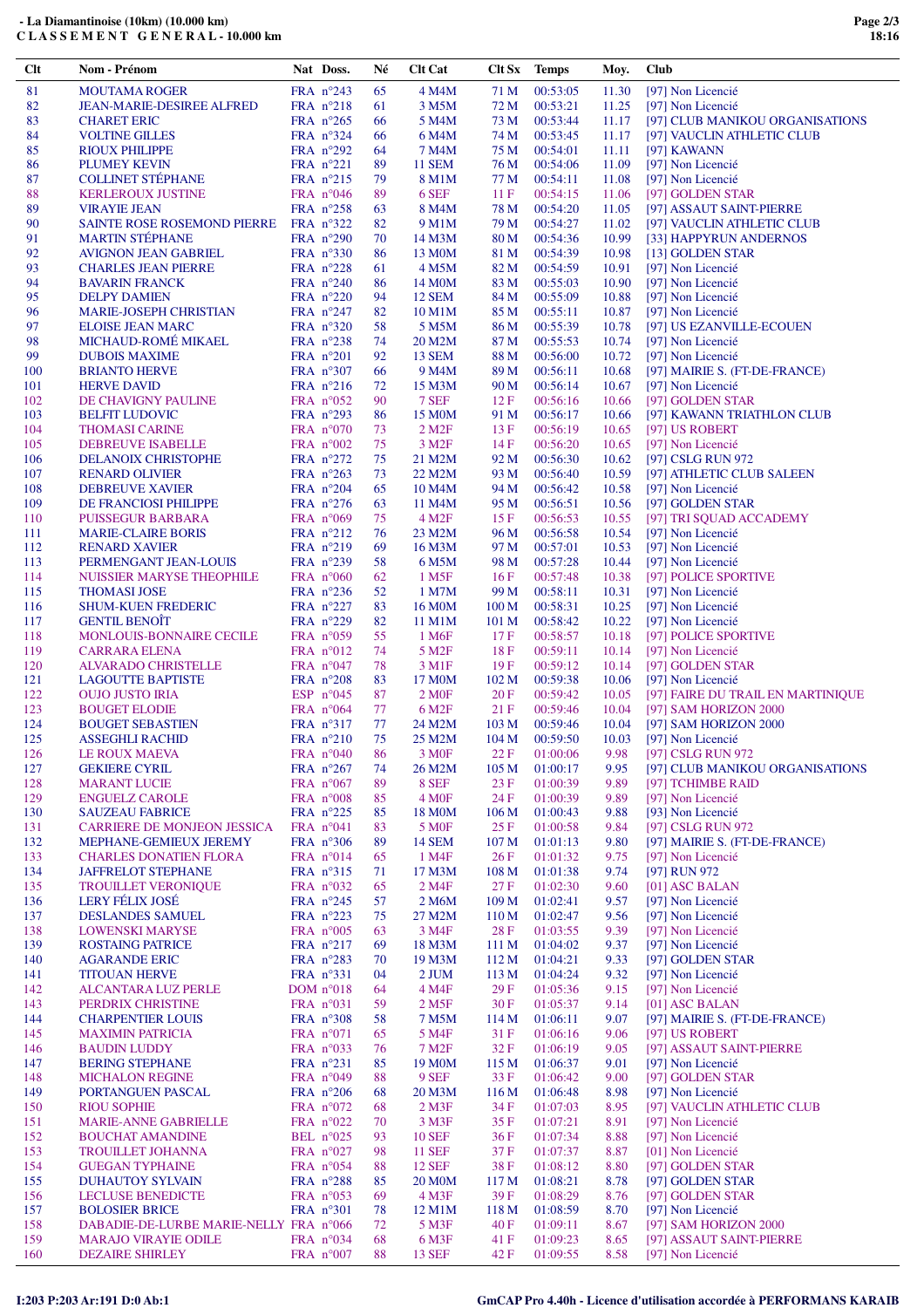|            | <b>VIRAYIE JEAN</b>                                 |             | FRA $n^{\circ}258$                       | 63       | 8 M4M                        | 78 M                    | 00:54:20             | 11.05          | [97] ASSAUT SAINT-PIERRE                        |
|------------|-----------------------------------------------------|-------------|------------------------------------------|----------|------------------------------|-------------------------|----------------------|----------------|-------------------------------------------------|
| 90         | SAINTE ROSE ROSEMOND PIERRE FRA n°322               |             |                                          | 82       | 9 M1M                        | 79 M                    | 00:54:27             | 11.02          | [97] VAUCLIN ATHLETIC CLUB                      |
| 91         | <b>MARTIN STÉPHANE</b>                              |             | FRA $n^{\circ}290$                       | 70       | 14 M3M                       | 80 M                    | 00:54:36             | 10.99          | [33] HAPPYRUN ANDERNOS                          |
| 92         | <b>AVIGNON JEAN GABRIEL</b>                         |             | FRA n°330                                | 86       | 13 M <sub>0</sub> M          | 81 M                    | 00:54:39             | 10.98          | [13] GOLDEN STAR                                |
| 93<br>94   | <b>CHARLES JEAN PIERRE</b><br><b>BAVARIN FRANCK</b> |             | FRA $n^{\circ}228$<br>FRA n°240          | 61<br>86 | 4 M5M<br>14 M <sub>0</sub> M | 82 M<br>83 M            | 00:54:59<br>00:55:03 | 10.91<br>10.90 | [97] Non Licencié<br>[97] Non Licencié          |
| 95         | <b>DELPY DAMIEN</b>                                 |             | FRA $n^{\circ}220$                       | 94       | 12 SEM                       | 84 M                    | 00:55:09             | 10.88          | [97] Non Licencié                               |
| 96         | <b>MARIE-JOSEPH CHRISTIAN</b>                       |             | FRA $n^{\circ}247$                       | 82       | 10 M1M                       | 85 M                    | 00:55:11             | 10.87          | [97] Non Licencié                               |
| 97         | <b>ELOISE JEAN MARC</b>                             |             | FRA $n^{\circ}320$                       | 58       | 5 M5M                        | 86 M                    | 00:55:39             | 10.78          | [97] US EZANVILLE-ECOUEN                        |
| 98         | MICHAUD-ROMÉ MIKAEL                                 |             | FRA $n^{\circ}238$                       | 74       | 20 M2M                       | 87 M                    | 00:55:53             | 10.74          | [97] Non Licencié                               |
| 99         | <b>DUBOIS MAXIME</b>                                |             | FRA $n^{\circ}201$                       | 92       | <b>13 SEM</b>                | 88 M                    | 00:56:00             | 10.72          | [97] Non Licencié                               |
| 100        | <b>BRIANTO HERVE</b>                                |             | FRA $n^{\circ}307$                       | 66       | 9 M4M                        | 89 M                    | 00:56:11             | 10.68          | [97] MAIRIE S. (FT-DE-FRANCE)                   |
| 101        | <b>HERVE DAVID</b>                                  |             | FRA $n^{\circ}216$                       | 72       | 15 M3M                       | 90 M                    | 00:56:14             | 10.67          | [97] Non Licencié                               |
| 102        | DE CHAVIGNY PAULINE                                 |             | FRA $n^{\circ}052$                       | 90       | 7 SEF                        | 12F                     | 00:56:16             | 10.66          | [97] GOLDEN STAR                                |
| 103        | <b>BELFIT LUDOVIC</b>                               |             | FRA $n^{\circ}293$                       | 86       | 15 M <sub>0</sub> M          | 91 M                    | 00:56:17             | 10.66          | [97] KAWANN TRIATHLON CLUB                      |
| 104<br>105 | <b>THOMASI CARINE</b>                               |             | FRA $n^{\circ}070$<br>FRA $n^{\circ}002$ | 73<br>75 | $2$ M <sub>2</sub> $F$       | 13F<br>14F              | 00:56:19<br>00:56:20 | 10.65<br>10.65 | [97] US ROBERT                                  |
| 106        | DEBREUVE ISABELLE<br><b>DELANOIX CHRISTOPHE</b>     |             | FRA $n^{\circ}272$                       | 75       | 3 M <sub>2F</sub><br>21 M2M  | 92 M                    | 00:56:30             | 10.62          | [97] Non Licencié<br>[97] CSLG RUN 972          |
| 107        | <b>RENARD OLIVIER</b>                               |             | FRA $n^{\circ}263$                       | 73       | 22 M2M                       | 93 M                    | 00:56:40             | 10.59          | [97] ATHLETIC CLUB SALEEN                       |
| 108        | <b>DEBREUVE XAVIER</b>                              |             | FRA $n^{\circ}204$                       | 65       | 10 M <sub>4</sub> M          | 94 M                    | 00:56:42             | 10.58          | [97] Non Licencié                               |
| 109        | DE FRANCIOSI PHILIPPE                               |             | FRA $n^{\circ}276$                       | 63       | 11 M4M                       | 95 M                    | 00:56:51             | 10.56          | [97] GOLDEN STAR                                |
| 110        | <b>PUISSEGUR BARBARA</b>                            |             | FRA $n^{\circ}069$                       | 75       | 4 M <sub>2F</sub>            | 15F                     | 00:56:53             | 10.55          | [97] TRI SQUAD ACCADEMY                         |
| 111        | <b>MARIE-CLAIRE BORIS</b>                           |             | FRA $n^{\circ}212$                       | 76       | 23 M2M                       | 96 M                    | 00:56:58             | 10.54          | [97] Non Licencié                               |
| 112        | <b>RENARD XAVIER</b>                                |             | FRA n°219                                | 69       | 16 M3M                       | 97 M                    | 00:57:01             | 10.53          | [97] Non Licencié                               |
| 113        | PERMENGANT JEAN-LOUIS                               |             | FRA $n^{\circ}239$                       | 58       | 6 M <sub>5</sub> M           | 98 M                    | 00:57:28             | 10.44          | [97] Non Licencié                               |
| 114        | NUISSIER MARYSE THEOPHILE                           |             | FRA $n^{\circ}060$                       | 62       | 1 M <sub>5F</sub>            | 16F                     | 00:57:48             | 10.38          | [97] POLICE SPORTIVE                            |
| 115        | <b>THOMASI JOSE</b>                                 |             | FRA $n^{\circ}236$                       | 52       | 1 M7M                        | 99 M                    | 00:58:11             | 10.31          | [97] Non Licencié                               |
| 116        | <b>SHUM-KUEN FREDERIC</b><br><b>GENTIL BENOÎT</b>   |             | FRA $n^{\circ}227$                       | 83       | 16 M <sub>0</sub> M          | 100 <sub>M</sub>        | 00:58:31             | 10.25          | [97] Non Licencié                               |
| 117<br>118 | <b>MONLOUIS-BONNAIRE CECILE</b>                     |             | FRA $n^{\circ}229$<br>FRA $n^{\circ}059$ | 82<br>55 | 11 M1M<br>1 M <sub>6F</sub>  | 101 <sub>M</sub><br>17F | 00:58:42<br>00:58:57 | 10.22<br>10.18 | [97] Non Licencié<br>[97] POLICE SPORTIVE       |
| 119        | <b>CARRARA ELENA</b>                                |             | FRA $n^{\circ}012$                       | 74       | 5 M <sub>2F</sub>            | 18F                     | 00:59:11             | 10.14          | [97] Non Licencié                               |
| 120        | ALVARADO CHRISTELLE                                 |             | FRA $n^{\circ}047$                       | 78       | 3 M1F                        | 19F                     | 00:59:12             | 10.14          | [97] GOLDEN STAR                                |
| 121        | <b>LAGOUTTE BAPTISTE</b>                            |             | FRA $n^{\circ}208$                       | 83       | 17 M <sub>0</sub> M          | 102 <sub>M</sub>        | 00:59:38             | 10.06          | [97] Non Licencié                               |
| 122        | <b>OUJO JUSTO IRIA</b>                              |             | ESP $n^{\circ}045$                       | 87       | 2 M <sub>OF</sub>            | 20F                     | 00:59:42             | 10.05          | [97] FAIRE DU TRAIL EN MARTINIQUE               |
| 123        | <b>BOUGET ELODIE</b>                                |             | FRA $n^{\circ}064$                       | 77       | 6 M <sub>2F</sub>            | 21F                     | 00:59:46             | 10.04          | [97] SAM HORIZON 2000                           |
| 124        | <b>BOUGET SEBASTIEN</b>                             |             | FRA $n^{\circ}317$                       | 77       | 24 M2M                       | 103 <sub>M</sub>        | 00:59:46             | 10.04          | [97] SAM HORIZON 2000                           |
| 125        | <b>ASSEGHLI RACHID</b>                              |             | FRA $n^{\circ}210$                       | 75       | 25 M2M                       | 104 <sub>M</sub>        | 00:59:50             | 10.03          | [97] Non Licencié                               |
| 126        | LE ROUX MAEVA                                       |             | FRA $n^{\circ}040$                       | 86       | 3 M <sub>OF</sub>            | 22 F                    | 01:00:06             | 9.98           | [97] CSLG RUN 972                               |
| 127        | <b>GEKIERE CYRIL</b>                                |             | FRA $n^{\circ}267$                       | 74       | 26 M2M                       | 105 <sub>M</sub>        | 01:00:17             | 9.95           | [97] CLUB MANIKOU ORGANISATIONS                 |
| 128<br>129 | <b>MARANT LUCIE</b><br><b>ENGUELZ CAROLE</b>        |             | FRA $n^{\circ}067$<br>FRA $n^{\circ}008$ | 89<br>85 | 8 SEF<br>4 M <sub>OF</sub>   | 23F<br>24 F             | 01:00:39<br>01:00:39 | 9.89<br>9.89   | [97] TCHIMBE RAID<br>[97] Non Licencié          |
| 130        | <b>SAUZEAU FABRICE</b>                              |             | FRA $n^{\circ}225$                       | 85       | 18 M <sub>0</sub> M          | 106 <sub>M</sub>        | 01:00:43             | 9.88           | [93] Non Licencié                               |
| 131        | CARRIERE DE MONJEON JESSICA                         | $FRA$ n°041 |                                          | 83       | 5 M <sub>OF</sub>            | 25F                     | 01:00:58             | 9.84           | [97] CSLG RUN 972                               |
| 132        | MEPHANE-GEMIEUX JEREMY                              |             | FRA $n^{\circ}306$                       | 89       | <b>14 SEM</b>                | 107 <sub>M</sub>        | 01:01:13             | 9.80           | [97] MAIRIE S. (FT-DE-FRANCE)                   |
| 133        | <b>CHARLES DONATIEN FLORA</b>                       |             | FRA $n^{\circ}014$                       | 65       | 1 M4F                        | 26F                     | 01:01:32             | 9.75           | [97] Non Licencié                               |
| 134        | <b>JAFFRELOT STEPHANE</b>                           |             | FRA $n^{\circ}315$                       | 71       | 17 M3M                       | 108 <sub>M</sub>        | 01:01:38             | 9.74           | [97] RUN 972                                    |
| 135        | <b>TROUILLET VERONIQUE</b>                          |             | FRA n°032                                | 65       | 2 M <sub>4F</sub>            | 27F                     | 01:02:30             | 9.60           | $[01]$ ASC BALAN                                |
| 136        | LERY FÉLIX JOSÉ                                     |             | FRA $n^{\circ}245$                       | 57       | $2\,\rm{M6M}$                |                         | 109 M 01:02:41       | 9.57           | [97] Non Licencié                               |
| 137        | <b>DESLANDES SAMUEL</b>                             |             | FRA $n^{\circ}223$                       | 75       | 27 M2M                       | 110 M                   | 01:02:47             | 9.56           | [97] Non Licencié                               |
| 138        | <b>LOWENSKI MARYSE</b>                              |             | FRA n°005                                | 63       | 3 M4F                        | 28F                     | 01:03:55             | 9.39           | [97] Non Licencié                               |
| 139<br>140 | <b>ROSTAING PATRICE</b><br><b>AGARANDE ERIC</b>     |             | FRA $n^{\circ}217$<br>FRA $n^{\circ}283$ | 69<br>70 | 18 M3M<br>19 M3M             | 111 M<br>112 M          | 01:04:02<br>01:04:21 | 9.37<br>9.33   | [97] Non Licencié<br>[97] GOLDEN STAR           |
| 141        | <b>TITOUAN HERVE</b>                                |             | FRA $n^{\circ}331$                       | 04       | 2 JUM                        | 113 M                   | 01:04:24             | 9.32           | [97] Non Licencié                               |
| 142        | ALCANTARA LUZ PERLE                                 |             | DOM $n^{\circ}018$                       | 64       | 4 M4F                        | 29F                     | 01:05:36             | 9.15           | [97] Non Licencié                               |
| 143        | PERDRIX CHRISTINE                                   |             | FRA $n^{\circ}031$                       | 59       | 2 M <sub>5F</sub>            | 30F                     | 01:05:37             | 9.14           | [01] ASC BALAN                                  |
| 144        | <b>CHARPENTIER LOUIS</b>                            |             | FRA $n^{\circ}308$                       | 58       | 7 M5M                        | 114 M                   | 01:06:11             | 9.07           | [97] MAIRIE S. (FT-DE-FRANCE)                   |
| 145        | <b>MAXIMIN PATRICIA</b>                             |             | FRA $n^{\circ}071$                       | 65       | 5 M4F                        | 31 F                    | 01:06:16             | 9.06           | [97] US ROBERT                                  |
| 146        | <b>BAUDIN LUDDY</b>                                 |             | FRA $n^{\circ}033$                       | 76       | 7 M <sub>2</sub> F           | 32 F                    | 01:06:19             | 9.05           | [97] ASSAUT SAINT-PIERRE                        |
| 147        | <b>BERING STEPHANE</b>                              |             | FRA $n^{\circ}231$                       | 85       | 19 M <sub>0</sub> M          | 115 M                   | 01:06:37             | 9.01           | [97] Non Licencié                               |
| 148        | <b>MICHALON REGINE</b>                              |             | FRA $n^{\circ}049$                       | 88       | 9 SEF                        | 33 F                    | 01:06:42             | 9.00           | [97] GOLDEN STAR                                |
| 149        | PORTANGUEN PASCAL                                   |             | FRA $n^{\circ}206$                       | 68       | 20 M3M                       | 116 M                   | 01:06:48             | 8.98           | [97] Non Licencié                               |
| 150        | <b>RIOU SOPHIE</b><br><b>MARIE-ANNE GABRIELLE</b>   |             | FRA $n^{\circ}072$<br>FRA $n^{\circ}022$ | 68<br>70 | $2$ M $3F$<br>3 M3F          | 34 F<br>35 F            | 01:07:03<br>01:07:21 | 8.95           | [97] VAUCLIN ATHLETIC CLUB<br>[97] Non Licencié |
| 151<br>152 | <b>BOUCHAT AMANDINE</b>                             |             | BEL $n^{\circ}025$                       | 93       | <b>10 SEF</b>                | 36 F                    | 01:07:34             | 8.91<br>8.88   | [97] Non Licencié                               |
| 153        | TROUILLET JOHANNA                                   |             | FRA $n^{\circ}027$                       | 98       | <b>11 SEF</b>                | 37 F                    | 01:07:37             | 8.87           | [01] Non Licencié                               |
| 154        | <b>GUEGAN TYPHAINE</b>                              |             | FRA $n^{\circ}054$                       | 88       | <b>12 SEF</b>                | 38 F                    | 01:08:12             | 8.80           | [97] GOLDEN STAR                                |
| 155        | <b>DUHAUTOY SYLVAIN</b>                             |             | FRA $n^{\circ}288$                       | 85       | <b>20 MOM</b>                | 117 <sub>M</sub>        | 01:08:21             | 8.78           | [97] GOLDEN STAR                                |
| 156        | <b>LECLUSE BENEDICTE</b>                            |             | FRA $n^{\circ}053$                       | 69       | 4 M3F                        | 39F                     | 01:08:29             | 8.76           | [97] GOLDEN STAR                                |
| 157        | <b>BOLOSIER BRICE</b>                               |             | FRA $n^{\circ}301$                       | 78       | 12 M1M                       | 118 M                   | 01:08:59             | 8.70           | [97] Non Licencié                               |
| 158        | DABADIE-DE-LURBE MARIE-NELLY FRA n°066              |             |                                          | 72       | 5 M3F                        | 40F                     | 01:09:11             | 8.67           | [97] SAM HORIZON 2000                           |
|            | <b>MARAJO VIRAYIE ODILE</b>                         |             | FRA $n^{\circ}034$                       | 68       | 6 M3F                        | 41 F                    | 01:09:23             | 8.65           | [97] ASSAUT SAINT-PIERRE                        |
| 159<br>160 | <b>DEZAIRE SHIRLEY</b>                              |             | FRA $n^{\circ}007$                       | 88       | <b>13 SEF</b>                | 42 F                    | 01:09:55             | 8.58           | [97] Non Licencié                               |

## **- La Diamantinoise (10km) (10.000 km) C L A S S E M E N T G E N E R A L - 10.000 km**

**Clt Nom - Prénom Nat Doss. Né Clt Cat Clt Sx Temps Moy. Club**

82 JEAN-MARIE-DESIREE ALFRED FRA n°218 61 3 M5M 72 M 00:53:21 11.25

81 MOUTAMA ROGER FRA n°243 65 4 M4M 71 M 00:53:05 11.30 [97] Non Licencié<br>82 JEAN-MARIE-DESIREE ALFRED FRA n°218 61 3 M5M 72 M 00:53:21 11.25 [97] Non Licencié

85 RIOUX PHILIPPE FRA n°292 64 7 M4M 75 M 00:54:01 11.11 [97] KAWANN 86 PLUMEY KEVIN FRA n°221 89 11 SEM 76 M 00:54:06 11.09 [97] Non Licencié 87 COLLINET STÉPHANE FRA n°215 79 8 M1M 77 M 00:54:11 11.08 [97] Non Licencié 88 KERLEROUX JUSTINE FRA n°046 89 6 SEF 11 F 00:54:15 11.06 [97] GOLDEN STAR

83 CHARET ERIC FRA n°265 66 5 M4M 73 M 00:53:44 11.17 [97] CLUB MANIKOU ORGANISATIONS 84 VOLTINE GILLES FRA n°324 66 6 M4M 74 M 00:53:45 11.17 [97] VAUCLIN ATHLETIC CLUB 84 VOLTINE GILLES FRA n°324 66 6 M4M 74 M 00:53:45 11.17 [97] VAUCLIN ATHLETIC CLUB